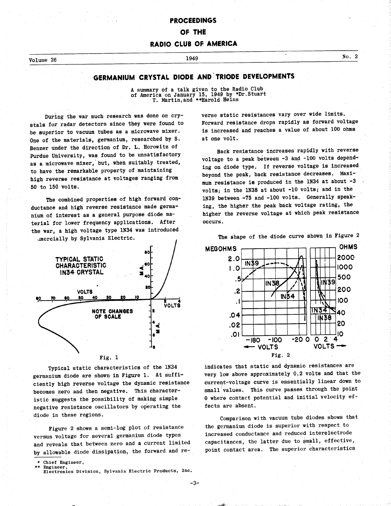# PROCEEDINGS

## OF THE

## RADIO CLUB OF AMERICA

# $\frac{1949}{\sqrt{100}}$  No. 2

# GERMANIUM CRYSTAL DIODE AND TRIODE DEVELOPMENTS

A summary of a talk given to the Radio Club of America on January 15, 1949 by \*Dr.Stuart T. Martin,and \*\*Harold Heins

During the war much research was done on crystals for radar detectors since they were found to be superior to vacuum tubes as a microwave mixer. One of the materials, germanium, researched by S. Benzer under the direction of Dr. L. Horowitz of Purdue University, was found to be unsatisfactory as a microwave mixer, but, when suitably treated, to have the remarkable property of maintaining high reverse resistance at voltages ranging from 50 to 150 volts.

The combined properties of high forward conductance and high reverse resistance made germanium of interest as a general purpose diode material for lower frequency applications. After the war, a high voltage type 1N34 was introduced



Typical static characteristics of the 1N34 germanium diode are shown in Figure 1. At sufficiently high reverse voltage the dynamic resistance becomes zero and then negative. This characteristic suggests the possibility of making simple negative resistance oscillators by operating the diode in these regions.

Figure 2 shows a semi-log plot of resistance versus voltage for several germanium diode types and reveals that between zero and a current limited by allowable diode dissipation, the forward and re-

\* Chief Engineer,

Engineer Electronics Division, Sylvania Electric Products, Inc. verse static resistances vary over wide limits. Forward resistance drops rapidly as forward voltage is increased and reaches a value of about 100 ohms at one volt.

Back resistance increases rapidly with reverse voltage to a peak between -3 and -100 volts depending on diode type. If reverse voltage is increased beyond the peak, back resistance decreases. Maximum resistance is produced in the 1N34 at about -3 volts; in the 1N38 at about -10 volts; and in the 1N39 between -75 and -100 volts. Generally speaking, the higher the peak back voltage rating, the higher the reverse voltage at which peak resistance occurs.

The shape of the diode curve shown in Figure 2



indicates that static and dynamic resistances are very low above approximately 0.2 volts and that the current -voltage curve is essentially linear down to small'values. This curve passes through the point 0 where contact potential and initial velocity effects are absent.

Comparison with vacuum tube diodes shows that the germanium diode is superior with respect to increased conductance and reduced interelectrode capacitances, the latter due to small, effective, point contact area. The superior characteristics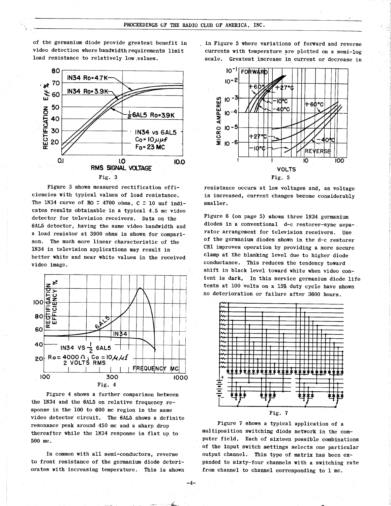of the germanium diode provide greatest benefit in video detection where bandwidth requirements limit load resistance to relatively low values.



Figure 3 shows measured rectification efficiencies with typical values of load resistance. The 1N34 curve of RO = 4700 ohms,  $C = 10$  uuf indicates results obtainable in a typical 4.5 mc video detector for television receivers. Data on the 6AL5 detector, having the same video bandwidth and a load resistor at 3900 ohms is shown for comparison. The much more linear characteristic of the 1N34 in television applications may result in better white and near white values in the received video image.



Figure 4 shows a further comparison between the 1N34 and the 6AL5 on relative frequency response in the 100 to 600 mc region in the same video detector circuit. The 6AL5 shows a definite resonance peak around 450 mc and a sharp drop thereafter while the 1N34 response is flat up to 500 mc.

In common with all semi-conductors, reverse to front resistance of the germanium diode deteriorates with increasing temperature. This is shown

 $-4-$ 

in Figure 5 where variations of forward and reverse currents with temperature are plotted on a semi-log scale. Greatest increase in current or decrease in



resistance occurs at low voltages and, as voltage is increased, current changes become considerably smaller.

Figure 6 (on page 5) shows three 1N34 germanium diodes in a conventional d-c restorer-sync separator arrangement for television receivers. Use of the germanium diodes shown in the d-c restorer CR1 improves operation by providing a more secure clamp at the blanking level due to higher diode conductance. This reduces the tendency toward shift in black level toward white when video content is dark, In this service germanium diode life tests at 100 volts on a 15% duty cycle have shown no deterioration or failure after 3600 hours.



Figure 7 shows a typical application of a multiposition switching diode network in the computer field. Each of sixteen possible combinations of the input switch settings selects one particular output channel. This type of matrix has been expanded to sixty-four channels with a switching rate from channel to channel corresponding to 1 mc.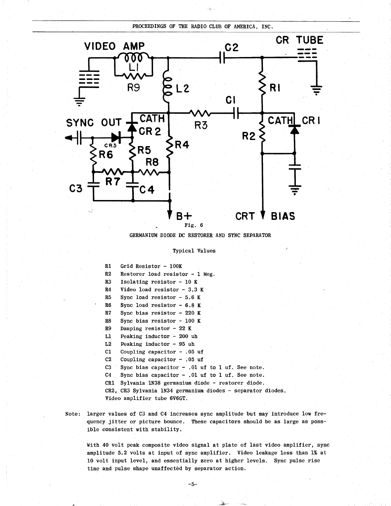PROCEEDINGS OF THE RADIO CLUB OF AMERICA, INC.



GERMANIUM DIODE DC RESTORER AND SYNC SEPARATOR

## Typical Values

R1 Grid Resistor - 100K R2 Restorer load resistor - 1 Meg. R3 Isolating resistor - 10 K R4 Video load resistor - 3.3 K R5 Sync load resistor - 5.6 K R6 Sync load resistor - 6.8 K R7 Sync bias resistor - 220 K R8 Sync bias resistor - 100 K R9 Damping resistor - 22 K Ll Peaking inductor - 200 uh L2 Peaking inductor - 95 uh Cl Coupling capacitor - .05 uf C2 Coupling capacitor - .05 uf C3 Sync bias capacitor - .01 uf to 1 uf. See note. C4 Sync bias capacitor - .01 uf to 1 uf. See note. CR1 Sylvania 1N38 germanium diode - restorer diode. CR2, CR3 Sylvania 1N34 germanium diodes - separator diodes. Video amplifier tube 6V6GT.

Note: larger values of C3 and C4 increases sync amplitude but may introduce low frequency jitter or picture bounce. These capacitors should be as large as possible consistent with stability.

With 40 volt peak composite video signal at plate of last video amplifier, sync amplitude 5.2 volts at input of sync amplifier. Video leakage less than 1% at 10 volt input level, and essentially zero at higher levels. Sync pulse rise time and pulse shape unaffected by separator action.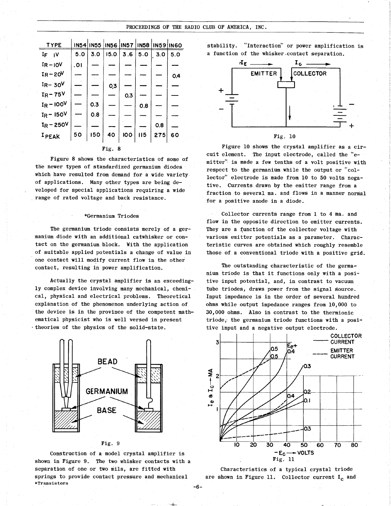## PROCEEDINGS OF THE RADIO CLUB OF AMERICA, INC.

|               |          |     |        |     |           |                                           |           | PROCEEDINGS OF THE RADIO CLUB OF AMERICA, INC.        |
|---------------|----------|-----|--------|-----|-----------|-------------------------------------------|-----------|-------------------------------------------------------|
| <b>TYPE</b>   |          |     |        |     |           | <b>IN54 IN55 IN56 IN57 IN58 IN59 IN60</b> |           | "Interaction" or power amplification is<br>stability. |
| $I_F$ $V$     | 5.0      | 3.0 | 15.0   |     | 3.6   5.0 |                                           | 3.0   5.0 | a function of the whisker contact separation.         |
| $IR - IOV$    | .01      |     |        |     |           |                                           |           | $E_{\rm E}$                                           |
| $IR - 20V$    | <u>—</u> |     |        |     |           |                                           | 0.4       | <b>COLLECTOR</b><br><b>EMITTER</b>                    |
| $1R - 30V$    |          |     | 0,3    |     |           |                                           |           |                                                       |
| $IR - 75V$    |          |     |        | 0.3 |           |                                           |           | $\div$                                                |
| $I_R - 100^V$ |          | 0.3 |        |     | 0.8       | ---                                       |           |                                                       |
| $I_R - 150V$  |          | 0.8 |        |     |           |                                           |           |                                                       |
| $I_R - 250V$  |          |     |        |     |           | 0.8                                       |           |                                                       |
| IPEAK         | 50       | 150 | 40     | 100 | 115       | 275                                       | 60        | Fig. 10                                               |
|               |          |     | Fig. 8 |     |           |                                           |           | Figure 10 shows the crystal amplifier as a cir-       |

Figure 8 shows the characteristics of some of the newer types of standardized germanium diodes which have resulted from demand for a wide variety of applications. Many other types are being developed for special applications requiring a wide range of rated voltage and back resistance.

### \*Germanium Triodes

The germanium triode consists merely of a germanium diode with an additional catwhisker or contact on the germanium block. With the application of suitable applied potentials a change of value in one contact will modify current flow in the other contact, resulting in power amplification.

Actually the crystal amplifier is an exceedingly complex device involving many mechanical, chemical, physical and electrical problems. Theoretical explanation of the phenomenon underlying action of the device is in the province of the competent mathematical physicist who is well versed in present theories of the physics of the solid-state.



Fig. 9

Construction of a model crystal amplifier is shown in Figure 9. The two whisker contacts with a separation of one or two mils, are fitted with springs to provide contact pressure and mechanical \*Transistors



Figure 10 shows the crystal amplifier as a circuit element. The input electrode, called the "emitter" is made a few tenths of a volt positive with respect to the germanium while the output or "collector" electrode is made from 10 to 50 volts negative. Currents drawn by the emitter range from a fraction to several ma. and flows in a manner normal for a positive anode in a diode.

Collector currents range from 1 to 4 ma. and flow in the opposite direction to emitter currents. They are a function of the collector voltage with various emitter potentials as a parameter. Characteristic curves are obtained which roughly resemble those of a conventional triode with a positive grid.

The outstanding characteristic of the germanium triode is that it functions only with a positive input potential, and, in contrast to vacuum tube triodes, draws power from the signal source. Input impedance is in the order of several hundred ohms while output impedance ranges from 10,000 to 30,000 ohms. Also in contrast to the thermionic triode, the germanium triode functions with a positive input and a negative output electrode.



Characteristics of a typical crystal triode are shown in Figure 11. Collector current  $I_c$  and

-6-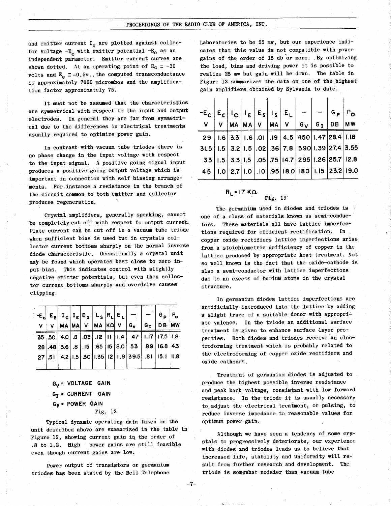and emitter current  $I<sub>e</sub>$  are plotted against collector voltage  $-E_c$  with emitter potential  $-E_e$  as an independent parameter. Emitter current curves are shown dotted. At an operating point of  $E_C = -30$ volts and  $E_e = -0.5v$ ., the computed transconductance is approximately 7000 micromhos and the amplification factor approximately 75.

It must not be assumed that the characteristics are symmetrical with respect to the input and output electrodes. In general they are far from symmetrical due to the differences in electrical treatments usually required to optimize power gain.

In contrast with vacuum tube triodes there is no phase change in the input voltage with respect to the input signal. A positive going signal input produces a positive going output voltage which is important in connection with self biasing arrangements. For instance a resistance in the branch of the circuit common to both emitter and collector produces regeneration.

Crystal amplifiers, generally speaking, cannot be completely cut off with respect to output current. Plate current can be cut off in a vacuum tube triode when sufficient bias is used but in crystals collector current bottoms sharply on the normal inverse diode characteristic. Occasionally a crystal unit may be found which operates best close to zero input bias. This indicates control with slightly negative emitter potentials, but even then collector current bottoms sharply and overdrive causes clipping.

|  |  |  |  | $V$ $V$ $M$ $M$ $M$ $V$ $M$ $M$ $N$ $U$ $G_V$ $G_T$ $G_T$ $D$ $B$ $M$ | G <sub>D</sub> | $P_{o}$ |
|--|--|--|--|-----------------------------------------------------------------------|----------------|---------|
|  |  |  |  | 35   50   4.0   8   03   12   11   1.4   47   1.17   17.5   1.8       |                |         |
|  |  |  |  | 28.48 3.6 8.15 65 65 69.15 65 65 65 89.16.8 43                        |                |         |
|  |  |  |  | 27 51 4.2 1.5 30 1.35 12 11.9 39.5 81 15.1 11.8                       |                |         |
|  |  |  |  |                                                                       |                |         |

G<sub>V</sub> = VOLTAGE GAIN  $G_T$  = CURRENT GAIN Gp \* POWER GAIN Fig. 12

Typical dynamic operating data taken on the unit described above are summarized in the table in Figure 12, showing current gain in the order of .8 to 1.2. High power gains are still feasible even though current gains are low.

 $-7-$ 

Power output of transistors or germanium triodes has been stated by the Bell Telephone

Laboratories to be 25 mw, but our experience indicates that this value is not compatible with power gains of the order of 15 db or more. By optimizing the load, bias and driving power it is possible to realize 25 mw but gain will be down. The table in Figure 13 summarizes the data on one of the highest gain amplifiers obtained by Sylvania to date.

| $-E_C  E_E   I_C   I_E   E_S   I_S   E_L  $                         |  |  |  |                                                                    | $ G_{p} P_{Q}$ |  |  |
|---------------------------------------------------------------------|--|--|--|--------------------------------------------------------------------|----------------|--|--|
| V                                                                   |  |  |  | V $MA  MA V$ $MA V$ $G_V  G_I DB$ MW                               |                |  |  |
|                                                                     |  |  |  | 29   1.6   3.3   1.6   .01   .19   4.5   450   1.47   28.4   1.18  |                |  |  |
| 31.5   1.5   3.2   1.5   .02   .36   7.8   390   1.39   27.4   3.55 |  |  |  |                                                                    |                |  |  |
|                                                                     |  |  |  | $-33$   I.5 $ 3.3 $ I.5 $ .05 $ .75 $ 14.7 295 $ I.26 $ 25.7 12.8$ |                |  |  |
|                                                                     |  |  |  | 45   1.0   2.7   1.0   .10   .95   18.0   180   1.15   23.2   19.0 |                |  |  |
|                                                                     |  |  |  |                                                                    |                |  |  |

$$
R_{L} = 17 K \Omega
$$
 Fig. 13

The germanium used in diodes and triodes is one of a class of materials known as semi-conductors. These materials all have lattice imperfections required for efficient rectification: In copper oxide rectifiers lattice imperfections arise from a stoichiometric defficiency of copper in the lattice produced by appropriate heat treatment. Not so well known is the fact that the oxide -cathode is also a semi-conductor with lattice imperfections due to an excess of barium atoms in the crystal structure.

MW treatment is given to enhance surface layer pro-In germanium diodes lattice imperfections are artificially introduced into the lattice by adding a slight trace of a suitable donor with appropriate valence. In the triode an additional surface perties. Both diodes and triodes receive an electroforming treatment which is probably related to the electroforming of copper oxide rectifiers and oxide cathodes.

> Treatment of germanium diodes is adjusted to produce the highest possible inverse resistance and peak back voltage, consistant with low forward resistance. In the triode it is usually necessary to adjust the electrical treatment, or pulsing, to reduce inverse impedance to reasonable values for optimum power gain.

> Although we have seen a tendency of some crystals to progressively deteriorate, our experience with diodes and triodes leads us to believe that increased life, stability and uniformity will result from further research and development. triode is somewhat noisier than vacuum tube